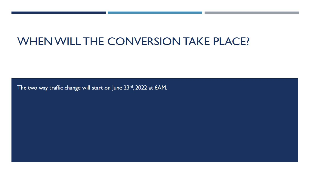# WHEN WILL THE CONVERSION TAKE PLACE?

The two way traffic change will start on June 23rd, 2022 at 6AM.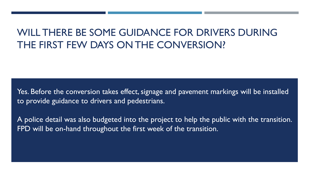## WILL THERE BE SOME GUIDANCE FOR DRIVERS DURING THE FIRST FEW DAYS ON THE CONVERSION?

Yes. Before the conversion takes effect, signage and pavement markings will be installed to provide guidance to drivers and pedestrians.

A police detail was also budgeted into the project to help the public with the transition. FPD will be on-hand throughout the first week of the transition.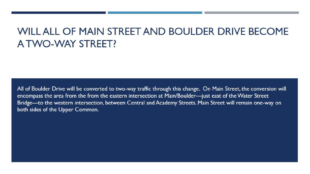### WILL ALL OF MAIN STREET AND BOULDER DRIVE BECOME A TWO-WAY STREET?

All of Boulder Drive will be converted to two-way traffic through this change. On Main Street, the conversion will encompass the area from the from the eastern intersection at Main/Boulder-just east of the Water Street Bridge—to the western intersection, between Central and Academy Streets. Main Street will remain one-way on both sides of the Upper Common.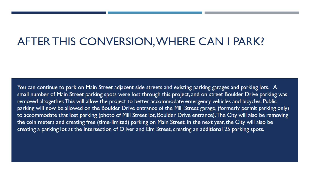## AFTER THIS CONVERSION, WHERE CAN I PARK?

You can continue to park on Main Street adjacent side streets and existing parking garages and parking lots. A small number of Main Street parking spots were lost through this project, and on-street Boulder Drive parking was removed altogether. This will allow the project to better accommodate emergency vehicles and bicycles. Public parking will now be allowed on the Boulder Drive entrance of the Mill Street garage, (formerly permit parking only) to accommodate that lost parking (photo of Mill Street lot, Boulder Drive entrance). The City will also be removing the coin meters and creating free (time-limited) parking on Main Street. In the next year, the City will also be creating a parking lot at the intersection of Oliver and Elm Street, creating an additional 25 parking spots.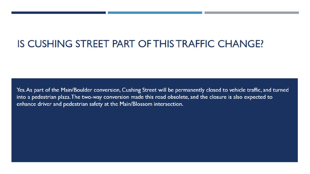## IS CUSHING STREET PART OF THIS TRAFFIC CHANGE?

Yes. As part of the Main/Boulder conversion, Cushing Street will be permanently closed to vehicle traffic, and turned into a pedestrian plaza. The two-way conversion made this road obsolete, and the closure is also expected to enhance driver and pedestrian safety at the Main/Blossom intersection.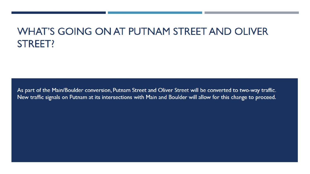## WHAT'S GOING ON AT PUTNAM STREET AND OLIVER STREET?

As part of the Main/Boulder conversion, Putnam Street and Oliver Street will be converted to two-way traffic. New traffic signals on Putnam at its intersections with Main and Boulder will allow for this change to proceed.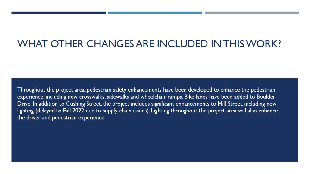#### WHAT OTHER CHANGES ARE INCLUDED IN THIS WORK?

Throughout the project area, pedestrian safety enhancements have been developed to enhance the pedestrian experience, including new crosswalks, sidewalks and wheelchair ramps. Bike lanes have been added to Boulder Drive. In addition to Cushing Street, the project includes significant enhancements to Mill Street, including new lighting (delayed to Fall 2022 due to supply-chain issues). Lighting throughout the project area will also enhance the driver and pedestrian experience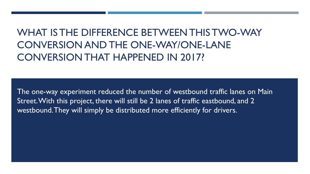## WHAT IS THE DIFFERENCE BETWEEN THIS TWO-WAY CONVERSION AND THE ONE-WAY/ONE-LANE CONVERSION THAT HAPPENED IN 2017?

The one-way experiment reduced the number of westbound traffic lanes on Main Street. With this project, there will still be 2 lanes of traffic eastbound, and 2 westbound. They will simply be distributed more efficiently for drivers.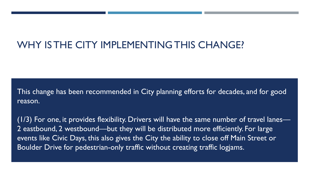### WHY IS THE CITY IMPLEMENTING THIS CHANGE?

This change has been recommended in City planning efforts for decades, and for good reason.

 $(1/3)$  For one, it provides flexibility. Drivers will have the same number of travel lanes— 2 eastbound, 2 westbound—but they will be distributed more efficiently. For large events like Civic Days, this also gives the City the ability to close off Main Street or Boulder Drive for pedestrian-only traffic without creating traffic logjams.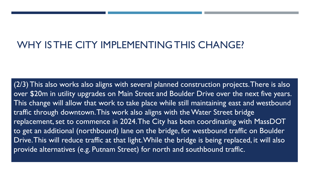#### WHY IS THE CITY IMPLEMENTING THIS CHANGE?

(2/3) This also works also aligns with several planned construction projects. There is also over \$20m in utility upgrades on Main Street and Boulder Drive over the next five years. This change will allow that work to take place while still maintaining east and westbound traffic through downtown. This work also aligns with the Water Street bridge replacement, set to commence in 2024. The City has been coordinating with MassDOT to get an additional (northbound) lane on the bridge, for westbound traffic on Boulder Drive. This will reduce traffic at that light. While the bridge is being replaced, it will also provide alternatives (e.g. Putnam Street) for north and southbound traffic.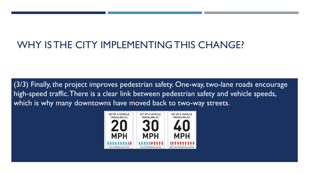## WHY IS THE CITY IMPLEMENTING THIS CHANGE?

(3/3) Finally, the project improves pedestrian safety. One-way, two-lane roads encourage high-speed traffic. There is a clear link between pedestrian safety and vehicle speeds, which is why many downtowns have moved back to two-way streets.

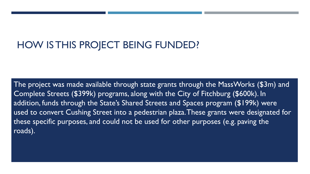### HOW IS THIS PROJECT BEING FUNDED?

The project was made available through state grants through the MassWorks (\$3m) and Complete Streets (\$399k) programs, along with the City of Fitchburg (\$600k). In addition, funds through the State's Shared Streets and Spaces program (\$199k) were used to convert Cushing Street into a pedestrian plaza. These grants were designated for these specific purposes, and could not be used for other purposes (e.g. paving the roads).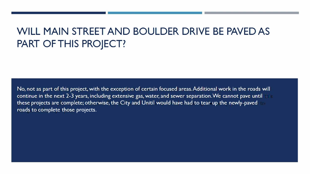## **WILL MAIN STREET AND BOULDER DRIVE BE PAVED AS PART OF THIS PROJECT?**

No, not as part of this project. with the exception of certain focused areas.Additional work in the roads will continue in the next 2-3 years, including extensive gas, water, and sewer separation. We cannot pave until these projects are complete; otherwise, the City and Unitil would have had to tear up the newly-paved roads to complete those projects.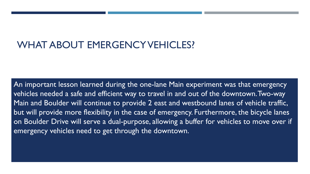#### WHAT ABOUT EMERGENCY VEHICLES?

An important lesson learned during the one-lane Main experiment was that emergency vehicles needed a safe and efficient way to travel in and out of the downtown. Two-way Main and Boulder will continue to provide 2 east and westbound lanes of vehicle traffic, but will provide more flexibility in the case of emergency. Furthermore, the bicycle lanes on Boulder Drive will serve a dual-purpose, allowing a buffer for vehicles to move over if emergency vehicles need to get through the downtown.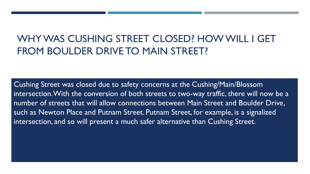## WHY WAS CUSHING STREET CLOSED? HOW WILL I GET FROM BOULDER DRIVE TO MAIN STREET?

Cushing Street was closed due to safety concerns at the Cushing/Main/Blossom intersection. With the conversion of both streets to two-way traffic, there will now be a number of streets that will allow connections between Main Street and Boulder Drive, such as Newton Place and Putnam Street. Putnam Street, for example, is a signalized intersection, and so will present a much safer alternative than Cushing Street.